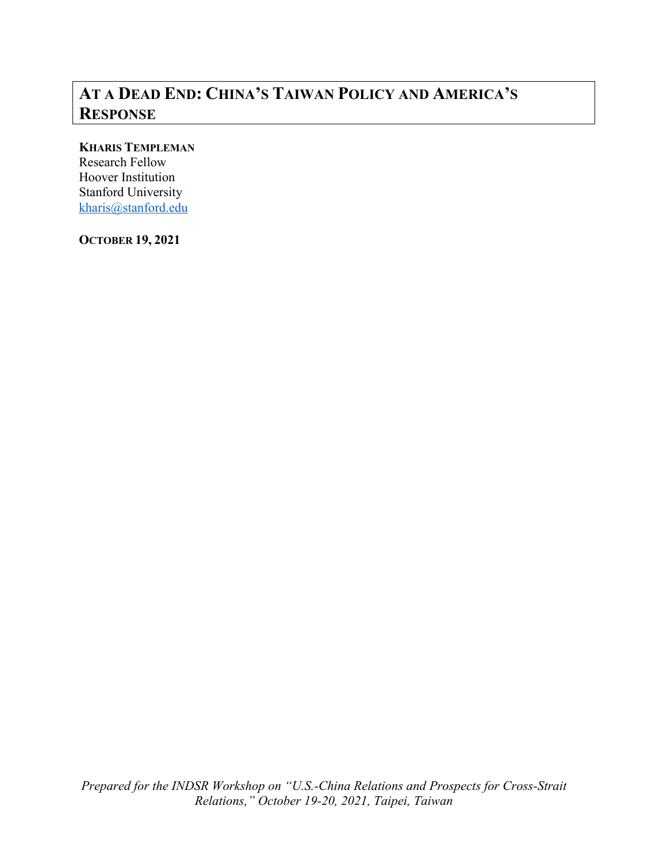# **AT A DEAD END: CHINA'S TAIWAN POLICY AND AMERICA'S RESPONSE**

# **KHARIS TEMPLEMAN**

Research Fellow Hoover Institution Stanford University kharis@stanford.edu

**OCTOBER 19, 2021**

*Prepared for the INDSR Workshop on "U.S.-China Relations and Prospects for Cross-Strait Relations," October 19-20, 2021, Taipei, Taiwan*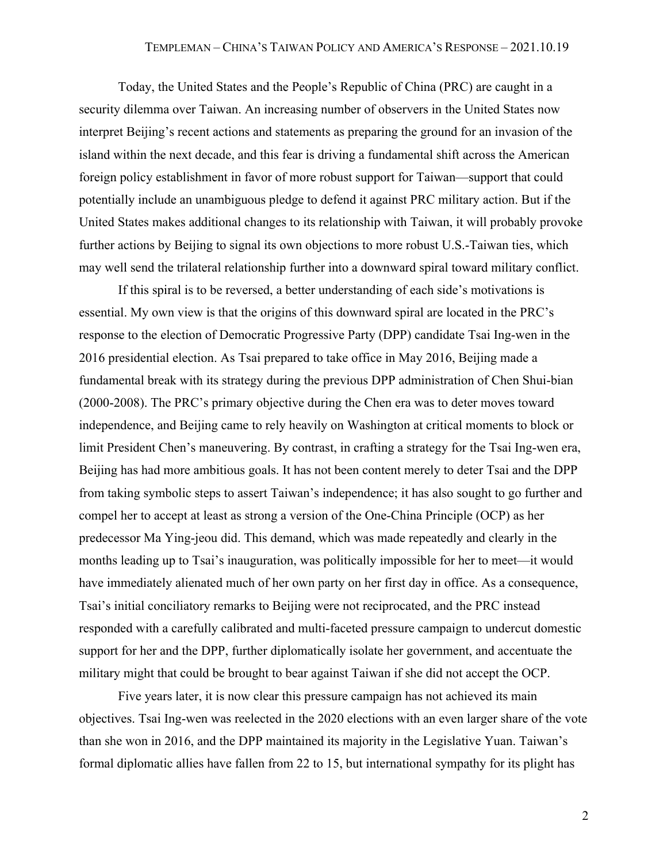Today, the United States and the People's Republic of China (PRC) are caught in a security dilemma over Taiwan. An increasing number of observers in the United States now interpret Beijing's recent actions and statements as preparing the ground for an invasion of the island within the next decade, and this fear is driving a fundamental shift across the American foreign policy establishment in favor of more robust support for Taiwan—support that could potentially include an unambiguous pledge to defend it against PRC military action. But if the United States makes additional changes to its relationship with Taiwan, it will probably provoke further actions by Beijing to signal its own objections to more robust U.S.-Taiwan ties, which may well send the trilateral relationship further into a downward spiral toward military conflict.

If this spiral is to be reversed, a better understanding of each side's motivations is essential. My own view is that the origins of this downward spiral are located in the PRC's response to the election of Democratic Progressive Party (DPP) candidate Tsai Ing-wen in the 2016 presidential election. As Tsai prepared to take office in May 2016, Beijing made a fundamental break with its strategy during the previous DPP administration of Chen Shui-bian (2000-2008). The PRC's primary objective during the Chen era was to deter moves toward independence, and Beijing came to rely heavily on Washington at critical moments to block or limit President Chen's maneuvering. By contrast, in crafting a strategy for the Tsai Ing-wen era, Beijing has had more ambitious goals. It has not been content merely to deter Tsai and the DPP from taking symbolic steps to assert Taiwan's independence; it has also sought to go further and compel her to accept at least as strong a version of the One-China Principle (OCP) as her predecessor Ma Ying-jeou did. This demand, which was made repeatedly and clearly in the months leading up to Tsai's inauguration, was politically impossible for her to meet—it would have immediately alienated much of her own party on her first day in office. As a consequence, Tsai's initial conciliatory remarks to Beijing were not reciprocated, and the PRC instead responded with a carefully calibrated and multi-faceted pressure campaign to undercut domestic support for her and the DPP, further diplomatically isolate her government, and accentuate the military might that could be brought to bear against Taiwan if she did not accept the OCP.

Five years later, it is now clear this pressure campaign has not achieved its main objectives. Tsai Ing-wen was reelected in the 2020 elections with an even larger share of the vote than she won in 2016, and the DPP maintained its majority in the Legislative Yuan. Taiwan's formal diplomatic allies have fallen from 22 to 15, but international sympathy for its plight has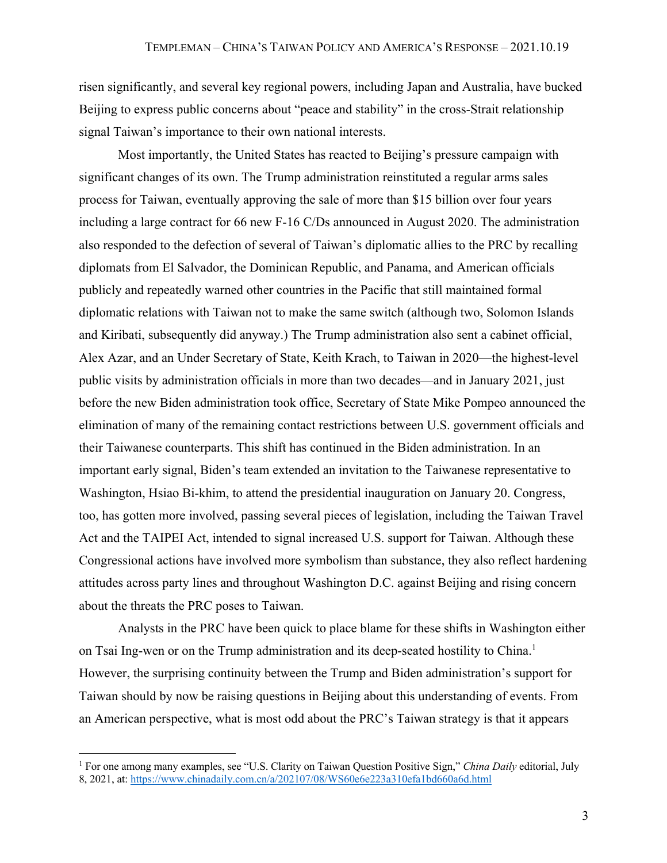risen significantly, and several key regional powers, including Japan and Australia, have bucked Beijing to express public concerns about "peace and stability" in the cross-Strait relationship signal Taiwan's importance to their own national interests.

Most importantly, the United States has reacted to Beijing's pressure campaign with significant changes of its own. The Trump administration reinstituted a regular arms sales process for Taiwan, eventually approving the sale of more than \$15 billion over four years including a large contract for 66 new F-16 C/Ds announced in August 2020. The administration also responded to the defection of several of Taiwan's diplomatic allies to the PRC by recalling diplomats from El Salvador, the Dominican Republic, and Panama, and American officials publicly and repeatedly warned other countries in the Pacific that still maintained formal diplomatic relations with Taiwan not to make the same switch (although two, Solomon Islands and Kiribati, subsequently did anyway.) The Trump administration also sent a cabinet official, Alex Azar, and an Under Secretary of State, Keith Krach, to Taiwan in 2020—the highest-level public visits by administration officials in more than two decades—and in January 2021, just before the new Biden administration took office, Secretary of State Mike Pompeo announced the elimination of many of the remaining contact restrictions between U.S. government officials and their Taiwanese counterparts. This shift has continued in the Biden administration. In an important early signal, Biden's team extended an invitation to the Taiwanese representative to Washington, Hsiao Bi-khim, to attend the presidential inauguration on January 20. Congress, too, has gotten more involved, passing several pieces of legislation, including the Taiwan Travel Act and the TAIPEI Act, intended to signal increased U.S. support for Taiwan. Although these Congressional actions have involved more symbolism than substance, they also reflect hardening attitudes across party lines and throughout Washington D.C. against Beijing and rising concern about the threats the PRC poses to Taiwan.

Analysts in the PRC have been quick to place blame for these shifts in Washington either on Tsai Ing-wen or on the Trump administration and its deep-seated hostility to China. 1 However, the surprising continuity between the Trump and Biden administration's support for Taiwan should by now be raising questions in Beijing about this understanding of events. From an American perspective, what is most odd about the PRC's Taiwan strategy is that it appears

<sup>1</sup> For one among many examples, see "U.S. Clarity on Taiwan Question Positive Sign," *China Daily* editorial, July 8, 2021, at: https://www.chinadaily.com.cn/a/202107/08/WS60e6e223a310efa1bd660a6d.html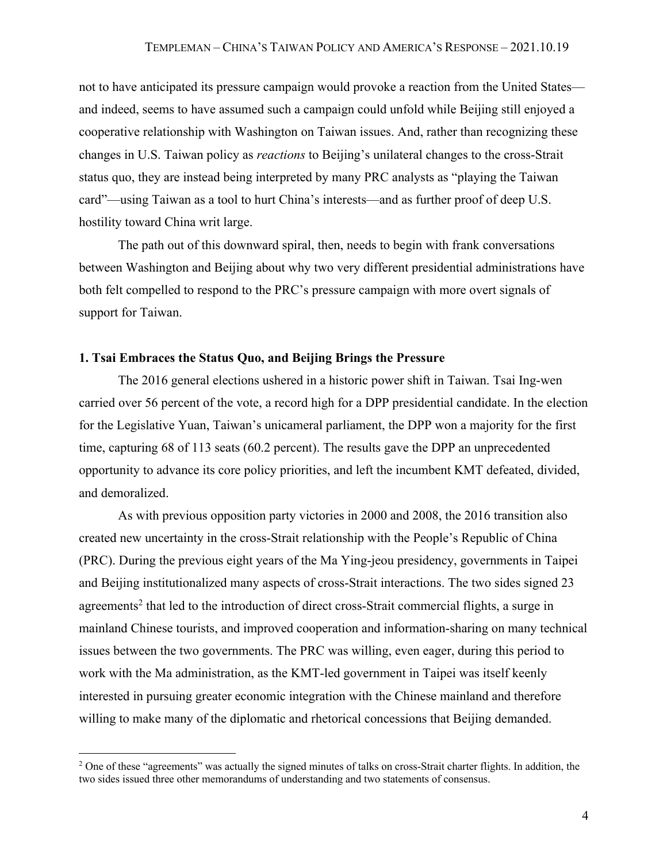not to have anticipated its pressure campaign would provoke a reaction from the United States and indeed, seems to have assumed such a campaign could unfold while Beijing still enjoyed a cooperative relationship with Washington on Taiwan issues. And, rather than recognizing these changes in U.S. Taiwan policy as *reactions* to Beijing's unilateral changes to the cross-Strait status quo, they are instead being interpreted by many PRC analysts as "playing the Taiwan card"—using Taiwan as a tool to hurt China's interests—and as further proof of deep U.S. hostility toward China writ large.

The path out of this downward spiral, then, needs to begin with frank conversations between Washington and Beijing about why two very different presidential administrations have both felt compelled to respond to the PRC's pressure campaign with more overt signals of support for Taiwan.

# **1. Tsai Embraces the Status Quo, and Beijing Brings the Pressure**

The 2016 general elections ushered in a historic power shift in Taiwan. Tsai Ing-wen carried over 56 percent of the vote, a record high for a DPP presidential candidate. In the election for the Legislative Yuan, Taiwan's unicameral parliament, the DPP won a majority for the first time, capturing 68 of 113 seats (60.2 percent). The results gave the DPP an unprecedented opportunity to advance its core policy priorities, and left the incumbent KMT defeated, divided, and demoralized.

As with previous opposition party victories in 2000 and 2008, the 2016 transition also created new uncertainty in the cross-Strait relationship with the People's Republic of China (PRC). During the previous eight years of the Ma Ying-jeou presidency, governments in Taipei and Beijing institutionalized many aspects of cross-Strait interactions. The two sides signed 23 agreements<sup>2</sup> that led to the introduction of direct cross-Strait commercial flights, a surge in mainland Chinese tourists, and improved cooperation and information-sharing on many technical issues between the two governments. The PRC was willing, even eager, during this period to work with the Ma administration, as the KMT-led government in Taipei was itself keenly interested in pursuing greater economic integration with the Chinese mainland and therefore willing to make many of the diplomatic and rhetorical concessions that Beijing demanded.

<sup>&</sup>lt;sup>2</sup> One of these "agreements" was actually the signed minutes of talks on cross-Strait charter flights. In addition, the two sides issued three other memorandums of understanding and two statements of consensus.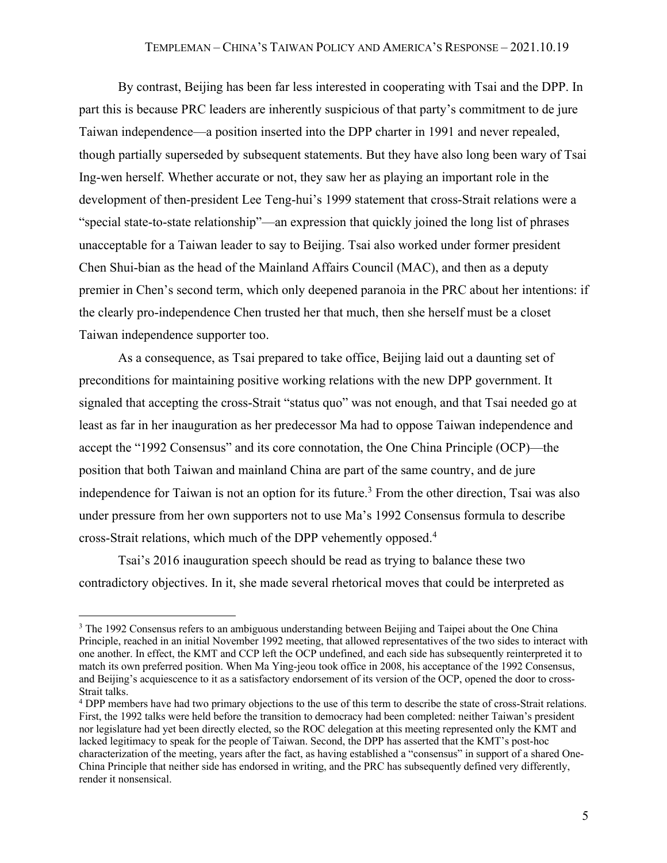By contrast, Beijing has been far less interested in cooperating with Tsai and the DPP. In part this is because PRC leaders are inherently suspicious of that party's commitment to de jure Taiwan independence—a position inserted into the DPP charter in 1991 and never repealed, though partially superseded by subsequent statements. But they have also long been wary of Tsai Ing-wen herself. Whether accurate or not, they saw her as playing an important role in the development of then-president Lee Teng-hui's 1999 statement that cross-Strait relations were a "special state-to-state relationship"—an expression that quickly joined the long list of phrases unacceptable for a Taiwan leader to say to Beijing. Tsai also worked under former president Chen Shui-bian as the head of the Mainland Affairs Council (MAC), and then as a deputy premier in Chen's second term, which only deepened paranoia in the PRC about her intentions: if the clearly pro-independence Chen trusted her that much, then she herself must be a closet Taiwan independence supporter too.

As a consequence, as Tsai prepared to take office, Beijing laid out a daunting set of preconditions for maintaining positive working relations with the new DPP government. It signaled that accepting the cross-Strait "status quo" was not enough, and that Tsai needed go at least as far in her inauguration as her predecessor Ma had to oppose Taiwan independence and accept the "1992 Consensus" and its core connotation, the One China Principle (OCP)—the position that both Taiwan and mainland China are part of the same country, and de jure independence for Taiwan is not an option for its future.<sup>3</sup> From the other direction, Tsai was also under pressure from her own supporters not to use Ma's 1992 Consensus formula to describe cross-Strait relations, which much of the DPP vehemently opposed.4

Tsai's 2016 inauguration speech should be read as trying to balance these two contradictory objectives. In it, she made several rhetorical moves that could be interpreted as

<sup>&</sup>lt;sup>3</sup> The 1992 Consensus refers to an ambiguous understanding between Beijing and Taipei about the One China Principle, reached in an initial November 1992 meeting, that allowed representatives of the two sides to interact with one another. In effect, the KMT and CCP left the OCP undefined, and each side has subsequently reinterpreted it to match its own preferred position. When Ma Ying-jeou took office in 2008, his acceptance of the 1992 Consensus, and Beijing's acquiescence to it as a satisfactory endorsement of its version of the OCP, opened the door to cross-Strait talks.

<sup>4</sup> DPP members have had two primary objections to the use of this term to describe the state of cross-Strait relations. First, the 1992 talks were held before the transition to democracy had been completed: neither Taiwan's president nor legislature had yet been directly elected, so the ROC delegation at this meeting represented only the KMT and lacked legitimacy to speak for the people of Taiwan. Second, the DPP has asserted that the KMT's post-hoc characterization of the meeting, years after the fact, as having established a "consensus" in support of a shared One-China Principle that neither side has endorsed in writing, and the PRC has subsequently defined very differently, render it nonsensical.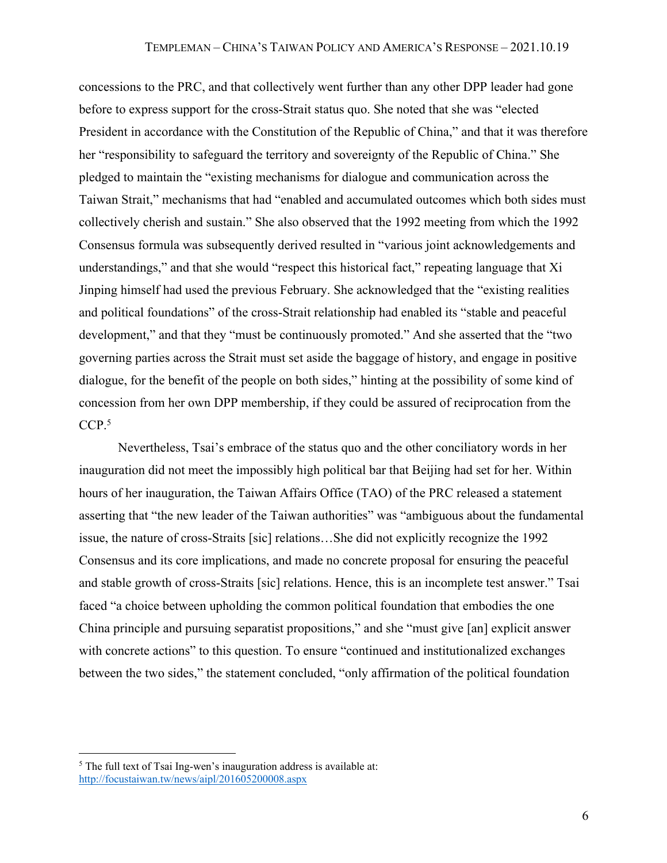concessions to the PRC, and that collectively went further than any other DPP leader had gone before to express support for the cross-Strait status quo. She noted that she was "elected President in accordance with the Constitution of the Republic of China," and that it was therefore her "responsibility to safeguard the territory and sovereignty of the Republic of China." She pledged to maintain the "existing mechanisms for dialogue and communication across the Taiwan Strait," mechanisms that had "enabled and accumulated outcomes which both sides must collectively cherish and sustain." She also observed that the 1992 meeting from which the 1992 Consensus formula was subsequently derived resulted in "various joint acknowledgements and understandings," and that she would "respect this historical fact," repeating language that Xi Jinping himself had used the previous February. She acknowledged that the "existing realities and political foundations" of the cross-Strait relationship had enabled its "stable and peaceful development," and that they "must be continuously promoted." And she asserted that the "two governing parties across the Strait must set aside the baggage of history, and engage in positive dialogue, for the benefit of the people on both sides," hinting at the possibility of some kind of concession from her own DPP membership, if they could be assured of reciprocation from the CCP.<sup>5</sup>

Nevertheless, Tsai's embrace of the status quo and the other conciliatory words in her inauguration did not meet the impossibly high political bar that Beijing had set for her. Within hours of her inauguration, the Taiwan Affairs Office (TAO) of the PRC released a statement asserting that "the new leader of the Taiwan authorities" was "ambiguous about the fundamental issue, the nature of cross-Straits [sic] relations…She did not explicitly recognize the 1992 Consensus and its core implications, and made no concrete proposal for ensuring the peaceful and stable growth of cross-Straits [sic] relations. Hence, this is an incomplete test answer." Tsai faced "a choice between upholding the common political foundation that embodies the one China principle and pursuing separatist propositions," and she "must give [an] explicit answer with concrete actions" to this question. To ensure "continued and institutionalized exchanges between the two sides," the statement concluded, "only affirmation of the political foundation

<sup>&</sup>lt;sup>5</sup> The full text of Tsai Ing-wen's inauguration address is available at: http://focustaiwan.tw/news/aipl/201605200008.aspx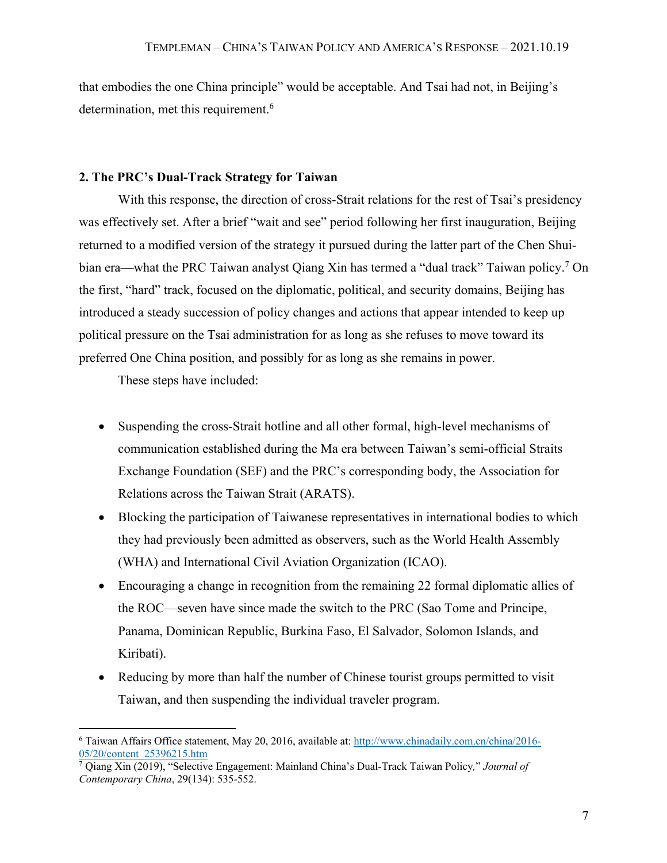that embodies the one China principle" would be acceptable. And Tsai had not, in Beijing's determination, met this requirement.<sup>6</sup>

#### **2. The PRC's Dual-Track Strategy for Taiwan**

With this response, the direction of cross-Strait relations for the rest of Tsai's presidency was effectively set. After a brief "wait and see" period following her first inauguration, Beijing returned to a modified version of the strategy it pursued during the latter part of the Chen Shuibian era—what the PRC Taiwan analyst Qiang Xin has termed a "dual track" Taiwan policy.<sup>7</sup> On the first, "hard" track, focused on the diplomatic, political, and security domains, Beijing has introduced a steady succession of policy changes and actions that appear intended to keep up political pressure on the Tsai administration for as long as she refuses to move toward its preferred One China position, and possibly for as long as she remains in power.

These steps have included:

- Suspending the cross-Strait hotline and all other formal, high-level mechanisms of communication established during the Ma era between Taiwan's semi-official Straits Exchange Foundation (SEF) and the PRC's corresponding body, the Association for Relations across the Taiwan Strait (ARATS).
- Blocking the participation of Taiwanese representatives in international bodies to which they had previously been admitted as observers, such as the World Health Assembly (WHA) and International Civil Aviation Organization (ICAO).
- Encouraging a change in recognition from the remaining 22 formal diplomatic allies of the ROC—seven have since made the switch to the PRC (Sao Tome and Principe, Panama, Dominican Republic, Burkina Faso, El Salvador, Solomon Islands, and Kiribati).
- Reducing by more than half the number of Chinese tourist groups permitted to visit Taiwan, and then suspending the individual traveler program.

<sup>6</sup> Taiwan Affairs Office statement, May 20, 2016, available at: http://www.chinadaily.com.cn/china/2016- 05/20/content\_25396215.htm

<sup>7</sup> Qiang Xin (2019), "Selective Engagement: Mainland China's Dual-Track Taiwan Policy*,*" *Journal of Contemporary China*, 29(134): 535-552.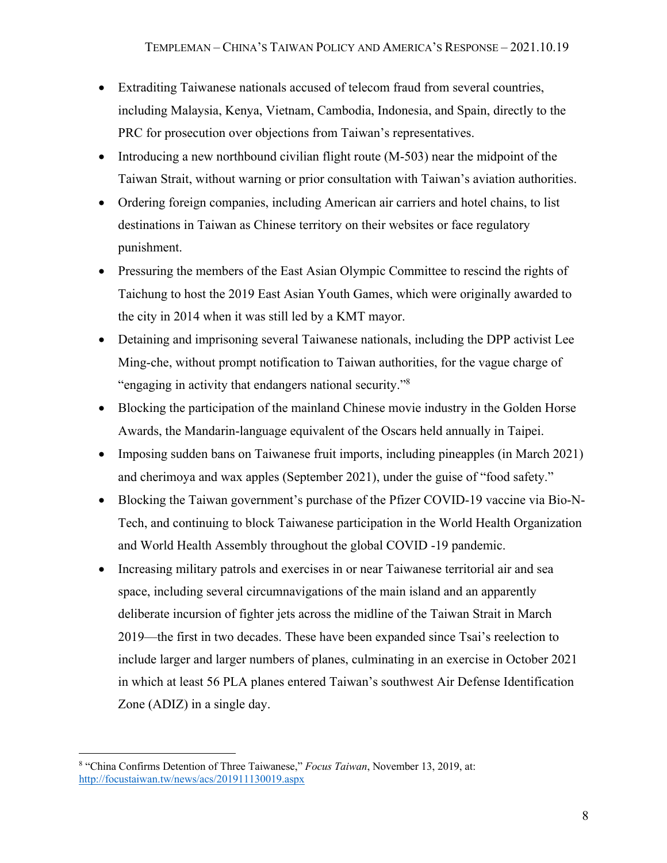- Extraditing Taiwanese nationals accused of telecom fraud from several countries, including Malaysia, Kenya, Vietnam, Cambodia, Indonesia, and Spain, directly to the PRC for prosecution over objections from Taiwan's representatives.
- Introducing a new northbound civilian flight route (M-503) near the midpoint of the Taiwan Strait, without warning or prior consultation with Taiwan's aviation authorities.
- Ordering foreign companies, including American air carriers and hotel chains, to list destinations in Taiwan as Chinese territory on their websites or face regulatory punishment.
- Pressuring the members of the East Asian Olympic Committee to rescind the rights of Taichung to host the 2019 East Asian Youth Games, which were originally awarded to the city in 2014 when it was still led by a KMT mayor.
- Detaining and imprisoning several Taiwanese nationals, including the DPP activist Lee Ming-che, without prompt notification to Taiwan authorities, for the vague charge of "engaging in activity that endangers national security."8
- Blocking the participation of the mainland Chinese movie industry in the Golden Horse Awards, the Mandarin-language equivalent of the Oscars held annually in Taipei.
- Imposing sudden bans on Taiwanese fruit imports, including pineapples (in March 2021) and cherimoya and wax apples (September 2021), under the guise of "food safety."
- Blocking the Taiwan government's purchase of the Pfizer COVID-19 vaccine via Bio-N-Tech, and continuing to block Taiwanese participation in the World Health Organization and World Health Assembly throughout the global COVID -19 pandemic.
- Increasing military patrols and exercises in or near Taiwanese territorial air and sea space, including several circumnavigations of the main island and an apparently deliberate incursion of fighter jets across the midline of the Taiwan Strait in March 2019—the first in two decades. These have been expanded since Tsai's reelection to include larger and larger numbers of planes, culminating in an exercise in October 2021 in which at least 56 PLA planes entered Taiwan's southwest Air Defense Identification Zone (ADIZ) in a single day.

<sup>8</sup> "China Confirms Detention of Three Taiwanese," *Focus Taiwan*, November 13, 2019, at: http://focustaiwan.tw/news/acs/201911130019.aspx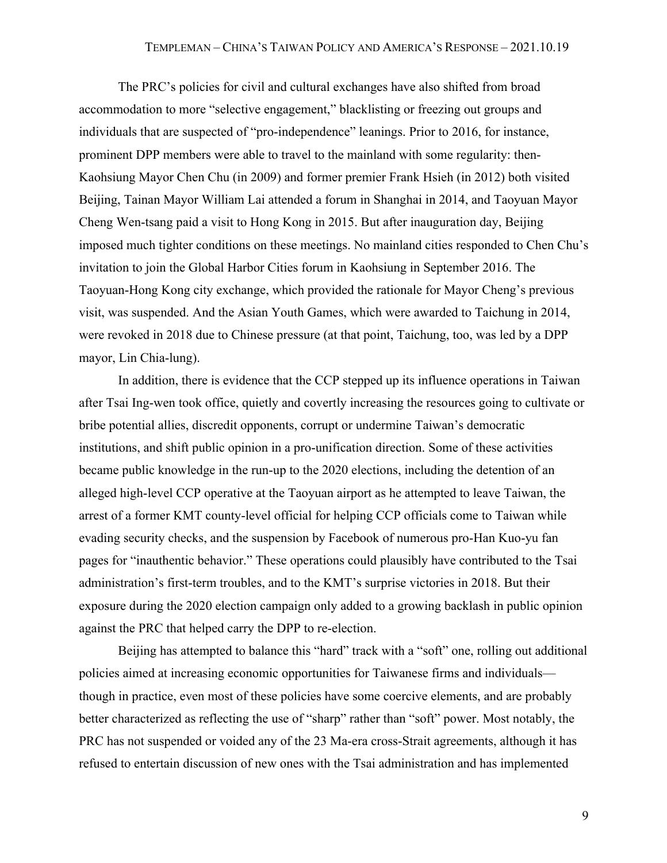The PRC's policies for civil and cultural exchanges have also shifted from broad accommodation to more "selective engagement," blacklisting or freezing out groups and individuals that are suspected of "pro-independence" leanings. Prior to 2016, for instance, prominent DPP members were able to travel to the mainland with some regularity: then-Kaohsiung Mayor Chen Chu (in 2009) and former premier Frank Hsieh (in 2012) both visited Beijing, Tainan Mayor William Lai attended a forum in Shanghai in 2014, and Taoyuan Mayor Cheng Wen-tsang paid a visit to Hong Kong in 2015. But after inauguration day, Beijing imposed much tighter conditions on these meetings. No mainland cities responded to Chen Chu's invitation to join the Global Harbor Cities forum in Kaohsiung in September 2016. The Taoyuan-Hong Kong city exchange, which provided the rationale for Mayor Cheng's previous visit, was suspended. And the Asian Youth Games, which were awarded to Taichung in 2014, were revoked in 2018 due to Chinese pressure (at that point, Taichung, too, was led by a DPP mayor, Lin Chia-lung).

In addition, there is evidence that the CCP stepped up its influence operations in Taiwan after Tsai Ing-wen took office, quietly and covertly increasing the resources going to cultivate or bribe potential allies, discredit opponents, corrupt or undermine Taiwan's democratic institutions, and shift public opinion in a pro-unification direction. Some of these activities became public knowledge in the run-up to the 2020 elections, including the detention of an alleged high-level CCP operative at the Taoyuan airport as he attempted to leave Taiwan, the arrest of a former KMT county-level official for helping CCP officials come to Taiwan while evading security checks, and the suspension by Facebook of numerous pro-Han Kuo-yu fan pages for "inauthentic behavior." These operations could plausibly have contributed to the Tsai administration's first-term troubles, and to the KMT's surprise victories in 2018. But their exposure during the 2020 election campaign only added to a growing backlash in public opinion against the PRC that helped carry the DPP to re-election.

Beijing has attempted to balance this "hard" track with a "soft" one, rolling out additional policies aimed at increasing economic opportunities for Taiwanese firms and individuals though in practice, even most of these policies have some coercive elements, and are probably better characterized as reflecting the use of "sharp" rather than "soft" power. Most notably, the PRC has not suspended or voided any of the 23 Ma-era cross-Strait agreements, although it has refused to entertain discussion of new ones with the Tsai administration and has implemented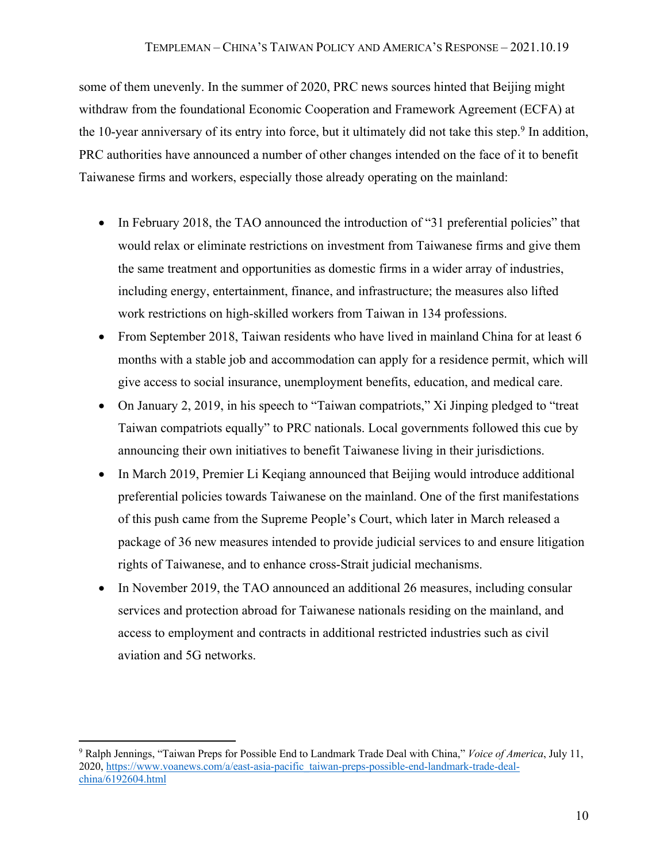some of them unevenly. In the summer of 2020, PRC news sources hinted that Beijing might withdraw from the foundational Economic Cooperation and Framework Agreement (ECFA) at the 10-year anniversary of its entry into force, but it ultimately did not take this step.<sup>9</sup> In addition, PRC authorities have announced a number of other changes intended on the face of it to benefit Taiwanese firms and workers, especially those already operating on the mainland:

- In February 2018, the TAO announced the introduction of "31 preferential policies" that would relax or eliminate restrictions on investment from Taiwanese firms and give them the same treatment and opportunities as domestic firms in a wider array of industries, including energy, entertainment, finance, and infrastructure; the measures also lifted work restrictions on high-skilled workers from Taiwan in 134 professions.
- From September 2018, Taiwan residents who have lived in mainland China for at least 6 months with a stable job and accommodation can apply for a residence permit, which will give access to social insurance, unemployment benefits, education, and medical care.
- On January 2, 2019, in his speech to "Taiwan compatriots," Xi Jinping pledged to "treat Taiwan compatriots equally" to PRC nationals. Local governments followed this cue by announcing their own initiatives to benefit Taiwanese living in their jurisdictions.
- In March 2019, Premier Li Keqiang announced that Beijing would introduce additional preferential policies towards Taiwanese on the mainland. One of the first manifestations of this push came from the Supreme People's Court, which later in March released a package of 36 new measures intended to provide judicial services to and ensure litigation rights of Taiwanese, and to enhance cross-Strait judicial mechanisms.
- In November 2019, the TAO announced an additional 26 measures, including consular services and protection abroad for Taiwanese nationals residing on the mainland, and access to employment and contracts in additional restricted industries such as civil aviation and 5G networks.

<sup>9</sup> Ralph Jennings, "Taiwan Preps for Possible End to Landmark Trade Deal with China," *Voice of America*, July 11, 2020, https://www.voanews.com/a/east-asia-pacific\_taiwan-preps-possible-end-landmark-trade-dealchina/6192604.html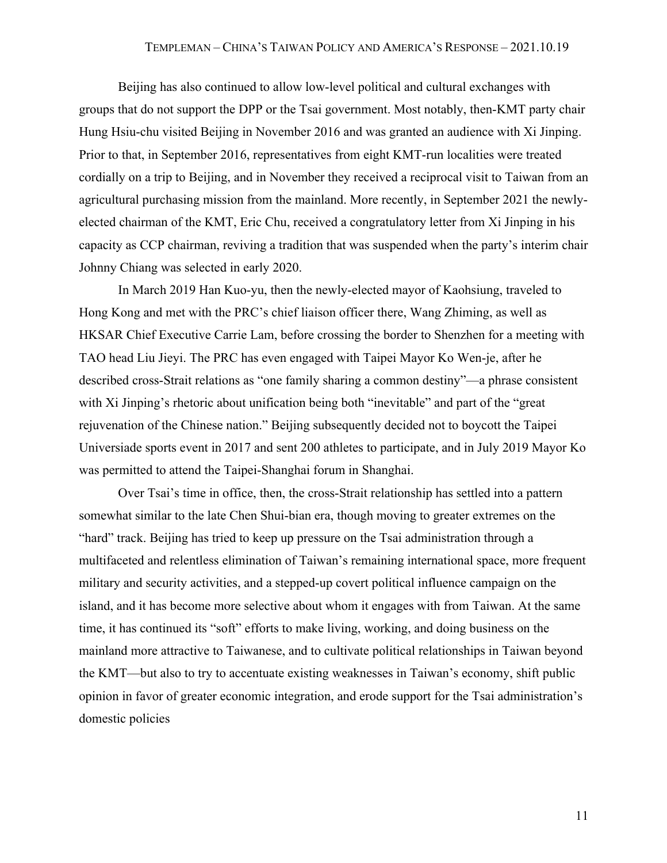Beijing has also continued to allow low-level political and cultural exchanges with groups that do not support the DPP or the Tsai government. Most notably, then-KMT party chair Hung Hsiu-chu visited Beijing in November 2016 and was granted an audience with Xi Jinping. Prior to that, in September 2016, representatives from eight KMT-run localities were treated cordially on a trip to Beijing, and in November they received a reciprocal visit to Taiwan from an agricultural purchasing mission from the mainland. More recently, in September 2021 the newlyelected chairman of the KMT, Eric Chu, received a congratulatory letter from Xi Jinping in his capacity as CCP chairman, reviving a tradition that was suspended when the party's interim chair Johnny Chiang was selected in early 2020.

In March 2019 Han Kuo-yu, then the newly-elected mayor of Kaohsiung, traveled to Hong Kong and met with the PRC's chief liaison officer there, Wang Zhiming, as well as HKSAR Chief Executive Carrie Lam, before crossing the border to Shenzhen for a meeting with TAO head Liu Jieyi. The PRC has even engaged with Taipei Mayor Ko Wen-je, after he described cross-Strait relations as "one family sharing a common destiny"—a phrase consistent with Xi Jinping's rhetoric about unification being both "inevitable" and part of the "great rejuvenation of the Chinese nation." Beijing subsequently decided not to boycott the Taipei Universiade sports event in 2017 and sent 200 athletes to participate, and in July 2019 Mayor Ko was permitted to attend the Taipei-Shanghai forum in Shanghai.

Over Tsai's time in office, then, the cross-Strait relationship has settled into a pattern somewhat similar to the late Chen Shui-bian era, though moving to greater extremes on the "hard" track. Beijing has tried to keep up pressure on the Tsai administration through a multifaceted and relentless elimination of Taiwan's remaining international space, more frequent military and security activities, and a stepped-up covert political influence campaign on the island, and it has become more selective about whom it engages with from Taiwan. At the same time, it has continued its "soft" efforts to make living, working, and doing business on the mainland more attractive to Taiwanese, and to cultivate political relationships in Taiwan beyond the KMT—but also to try to accentuate existing weaknesses in Taiwan's economy, shift public opinion in favor of greater economic integration, and erode support for the Tsai administration's domestic policies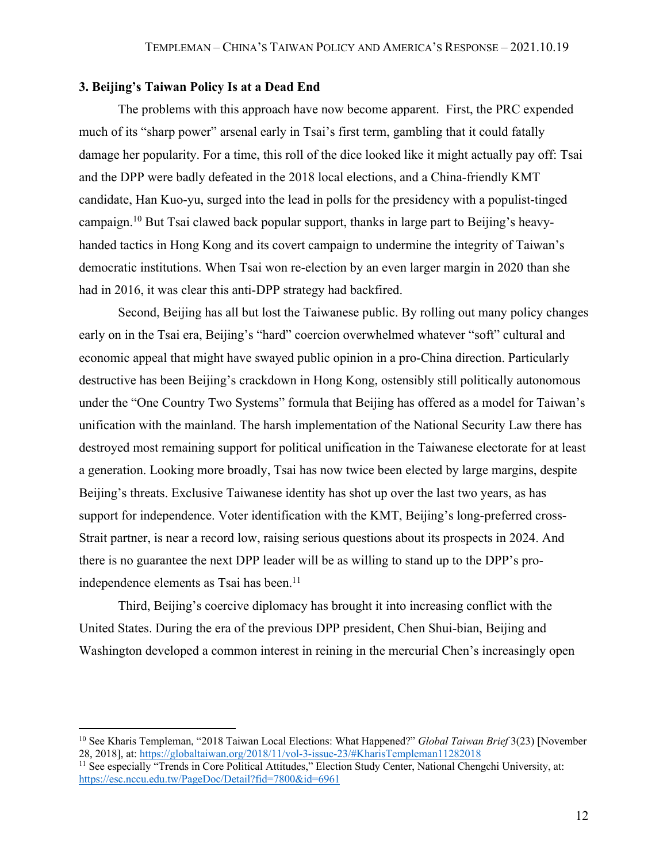# **3. Beijing's Taiwan Policy Is at a Dead End**

The problems with this approach have now become apparent. First, the PRC expended much of its "sharp power" arsenal early in Tsai's first term, gambling that it could fatally damage her popularity. For a time, this roll of the dice looked like it might actually pay off: Tsai and the DPP were badly defeated in the 2018 local elections, and a China-friendly KMT candidate, Han Kuo-yu, surged into the lead in polls for the presidency with a populist-tinged campaign.10 But Tsai clawed back popular support, thanks in large part to Beijing's heavyhanded tactics in Hong Kong and its covert campaign to undermine the integrity of Taiwan's democratic institutions. When Tsai won re-election by an even larger margin in 2020 than she had in 2016, it was clear this anti-DPP strategy had backfired.

Second, Beijing has all but lost the Taiwanese public. By rolling out many policy changes early on in the Tsai era, Beijing's "hard" coercion overwhelmed whatever "soft" cultural and economic appeal that might have swayed public opinion in a pro-China direction. Particularly destructive has been Beijing's crackdown in Hong Kong, ostensibly still politically autonomous under the "One Country Two Systems" formula that Beijing has offered as a model for Taiwan's unification with the mainland. The harsh implementation of the National Security Law there has destroyed most remaining support for political unification in the Taiwanese electorate for at least a generation. Looking more broadly, Tsai has now twice been elected by large margins, despite Beijing's threats. Exclusive Taiwanese identity has shot up over the last two years, as has support for independence. Voter identification with the KMT, Beijing's long-preferred cross-Strait partner, is near a record low, raising serious questions about its prospects in 2024. And there is no guarantee the next DPP leader will be as willing to stand up to the DPP's proindependence elements as Tsai has been.<sup>11</sup>

Third, Beijing's coercive diplomacy has brought it into increasing conflict with the United States. During the era of the previous DPP president, Chen Shui-bian, Beijing and Washington developed a common interest in reining in the mercurial Chen's increasingly open

<sup>&</sup>lt;sup>10</sup> See Kharis Templeman, "2018 Taiwan Local Elections: What Happened?" *Global Taiwan Brief* 3(23) [November 28, 2018], at: https://globaltaiwan.org/2018/11/vol-3-issue-23/#KharisTempleman11282018

<sup>&</sup>lt;sup>11</sup> See especially "Trends in Core Political Attitudes," Election Study Center, National Chengchi University, at: https://esc.nccu.edu.tw/PageDoc/Detail?fid=7800&id=6961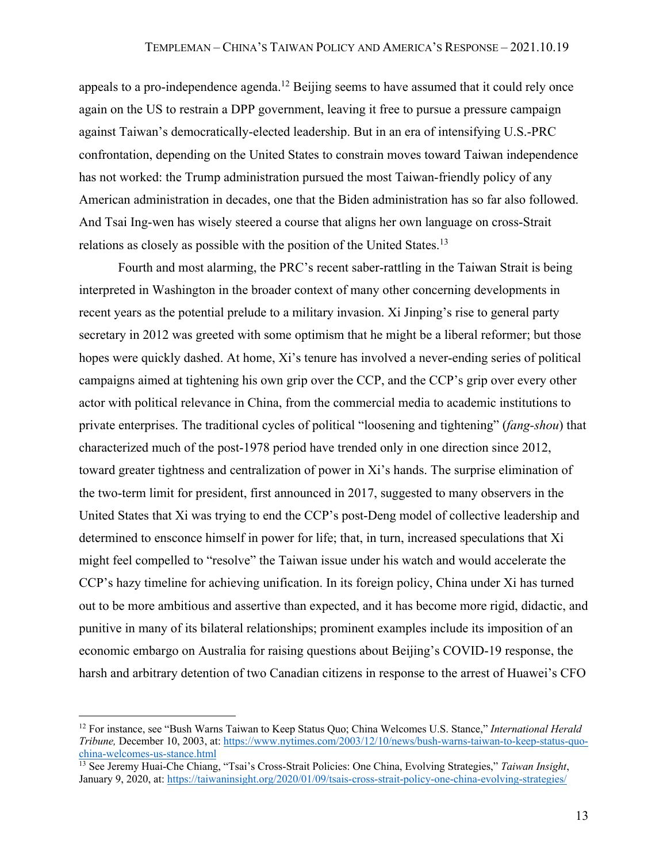appeals to a pro-independence agenda.<sup>12</sup> Beijing seems to have assumed that it could rely once again on the US to restrain a DPP government, leaving it free to pursue a pressure campaign against Taiwan's democratically-elected leadership. But in an era of intensifying U.S.-PRC confrontation, depending on the United States to constrain moves toward Taiwan independence has not worked: the Trump administration pursued the most Taiwan-friendly policy of any American administration in decades, one that the Biden administration has so far also followed. And Tsai Ing-wen has wisely steered a course that aligns her own language on cross-Strait relations as closely as possible with the position of the United States.<sup>13</sup>

Fourth and most alarming, the PRC's recent saber-rattling in the Taiwan Strait is being interpreted in Washington in the broader context of many other concerning developments in recent years as the potential prelude to a military invasion. Xi Jinping's rise to general party secretary in 2012 was greeted with some optimism that he might be a liberal reformer; but those hopes were quickly dashed. At home, Xi's tenure has involved a never-ending series of political campaigns aimed at tightening his own grip over the CCP, and the CCP's grip over every other actor with political relevance in China, from the commercial media to academic institutions to private enterprises. The traditional cycles of political "loosening and tightening" (*fang-shou*) that characterized much of the post-1978 period have trended only in one direction since 2012, toward greater tightness and centralization of power in Xi's hands. The surprise elimination of the two-term limit for president, first announced in 2017, suggested to many observers in the United States that Xi was trying to end the CCP's post-Deng model of collective leadership and determined to ensconce himself in power for life; that, in turn, increased speculations that Xi might feel compelled to "resolve" the Taiwan issue under his watch and would accelerate the CCP's hazy timeline for achieving unification. In its foreign policy, China under Xi has turned out to be more ambitious and assertive than expected, and it has become more rigid, didactic, and punitive in many of its bilateral relationships; prominent examples include its imposition of an economic embargo on Australia for raising questions about Beijing's COVID-19 response, the harsh and arbitrary detention of two Canadian citizens in response to the arrest of Huawei's CFO

<sup>12</sup> For instance, see "Bush Warns Taiwan to Keep Status Quo; China Welcomes U.S. Stance," *International Herald Tribune,* December 10, 2003, at: https://www.nytimes.com/2003/12/10/news/bush-warns-taiwan-to-keep-status-quochina-welcomes-us-stance.html

<sup>13</sup> See Jeremy Huai-Che Chiang, "Tsai's Cross-Strait Policies: One China, Evolving Strategies," *Taiwan Insight*, January 9, 2020, at: https://taiwaninsight.org/2020/01/09/tsais-cross-strait-policy-one-china-evolving-strategies/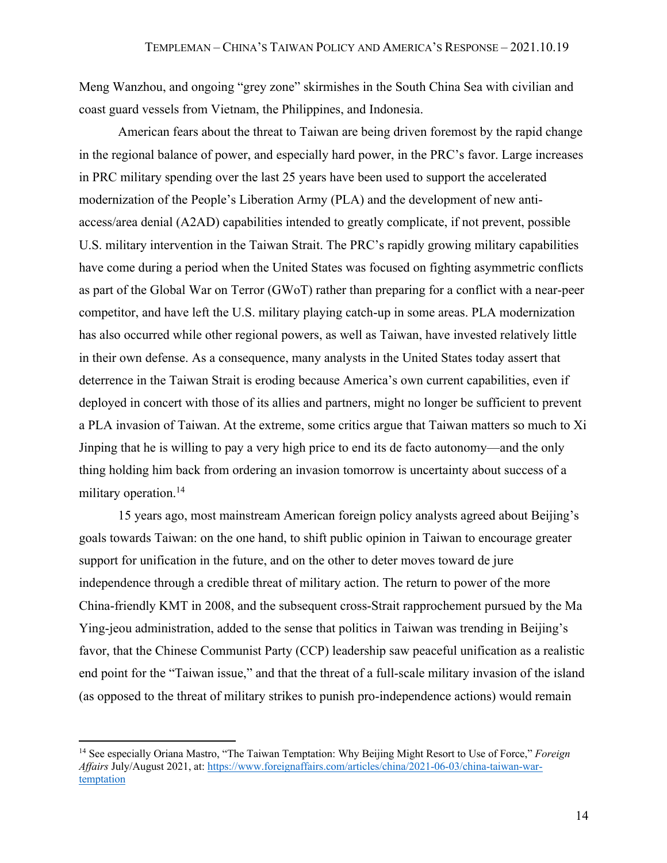Meng Wanzhou, and ongoing "grey zone" skirmishes in the South China Sea with civilian and coast guard vessels from Vietnam, the Philippines, and Indonesia.

American fears about the threat to Taiwan are being driven foremost by the rapid change in the regional balance of power, and especially hard power, in the PRC's favor. Large increases in PRC military spending over the last 25 years have been used to support the accelerated modernization of the People's Liberation Army (PLA) and the development of new antiaccess/area denial (A2AD) capabilities intended to greatly complicate, if not prevent, possible U.S. military intervention in the Taiwan Strait. The PRC's rapidly growing military capabilities have come during a period when the United States was focused on fighting asymmetric conflicts as part of the Global War on Terror (GWoT) rather than preparing for a conflict with a near-peer competitor, and have left the U.S. military playing catch-up in some areas. PLA modernization has also occurred while other regional powers, as well as Taiwan, have invested relatively little in their own defense. As a consequence, many analysts in the United States today assert that deterrence in the Taiwan Strait is eroding because America's own current capabilities, even if deployed in concert with those of its allies and partners, might no longer be sufficient to prevent a PLA invasion of Taiwan. At the extreme, some critics argue that Taiwan matters so much to Xi Jinping that he is willing to pay a very high price to end its de facto autonomy—and the only thing holding him back from ordering an invasion tomorrow is uncertainty about success of a military operation.<sup>14</sup>

15 years ago, most mainstream American foreign policy analysts agreed about Beijing's goals towards Taiwan: on the one hand, to shift public opinion in Taiwan to encourage greater support for unification in the future, and on the other to deter moves toward de jure independence through a credible threat of military action. The return to power of the more China-friendly KMT in 2008, and the subsequent cross-Strait rapprochement pursued by the Ma Ying-jeou administration, added to the sense that politics in Taiwan was trending in Beijing's favor, that the Chinese Communist Party (CCP) leadership saw peaceful unification as a realistic end point for the "Taiwan issue," and that the threat of a full-scale military invasion of the island (as opposed to the threat of military strikes to punish pro-independence actions) would remain

<sup>14</sup> See especially Oriana Mastro, "The Taiwan Temptation: Why Beijing Might Resort to Use of Force," *Foreign Affairs* July/August 2021, at: https://www.foreignaffairs.com/articles/china/2021-06-03/china-taiwan-wartemptation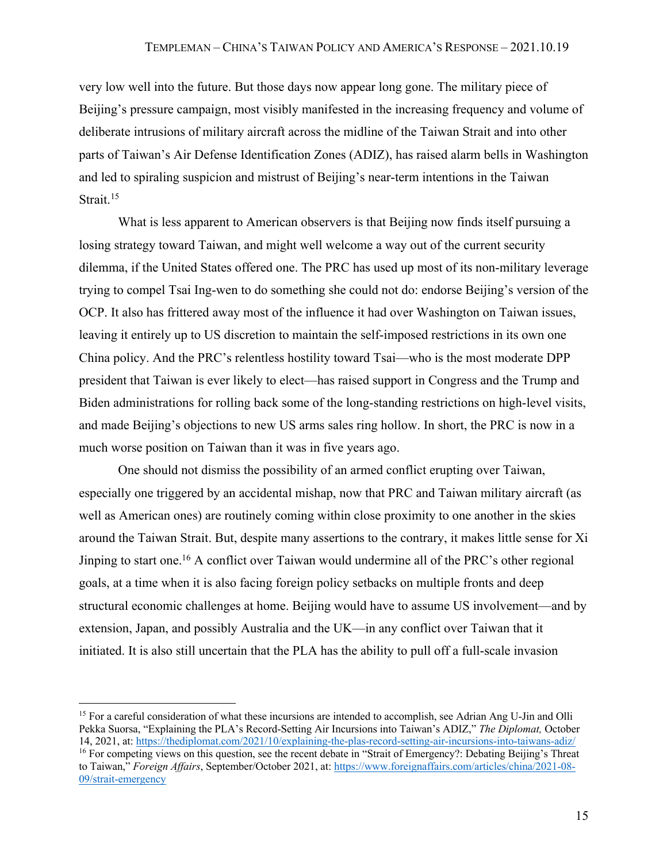very low well into the future. But those days now appear long gone. The military piece of Beijing's pressure campaign, most visibly manifested in the increasing frequency and volume of deliberate intrusions of military aircraft across the midline of the Taiwan Strait and into other parts of Taiwan's Air Defense Identification Zones (ADIZ), has raised alarm bells in Washington and led to spiraling suspicion and mistrust of Beijing's near-term intentions in the Taiwan Strait.<sup>15</sup>

What is less apparent to American observers is that Beijing now finds itself pursuing a losing strategy toward Taiwan, and might well welcome a way out of the current security dilemma, if the United States offered one. The PRC has used up most of its non-military leverage trying to compel Tsai Ing-wen to do something she could not do: endorse Beijing's version of the OCP. It also has frittered away most of the influence it had over Washington on Taiwan issues, leaving it entirely up to US discretion to maintain the self-imposed restrictions in its own one China policy. And the PRC's relentless hostility toward Tsai—who is the most moderate DPP president that Taiwan is ever likely to elect—has raised support in Congress and the Trump and Biden administrations for rolling back some of the long-standing restrictions on high-level visits, and made Beijing's objections to new US arms sales ring hollow. In short, the PRC is now in a much worse position on Taiwan than it was in five years ago.

One should not dismiss the possibility of an armed conflict erupting over Taiwan, especially one triggered by an accidental mishap, now that PRC and Taiwan military aircraft (as well as American ones) are routinely coming within close proximity to one another in the skies around the Taiwan Strait. But, despite many assertions to the contrary, it makes little sense for Xi Jinping to start one.16 A conflict over Taiwan would undermine all of the PRC's other regional goals, at a time when it is also facing foreign policy setbacks on multiple fronts and deep structural economic challenges at home. Beijing would have to assume US involvement—and by extension, Japan, and possibly Australia and the UK—in any conflict over Taiwan that it initiated. It is also still uncertain that the PLA has the ability to pull off a full-scale invasion

<sup>&</sup>lt;sup>15</sup> For a careful consideration of what these incursions are intended to accomplish, see Adrian Ang U-Jin and Olli Pekka Suorsa, "Explaining the PLA's Record-Setting Air Incursions into Taiwan's ADIZ," *The Diplomat,* October 14, 2021, at: https://thediplomat.com/2021/10/explaining-the-plas-record-setting-air-incursions-into-taiwans-adiz/ <sup>16</sup> For competing views on this question, see the recent debate in "Strait of Emergency?: Debating Beijing's Threat to Taiwan," *Foreign Affairs*, September/October 2021, at: https://www.foreignaffairs.com/articles/china/2021-08- 09/strait-emergency